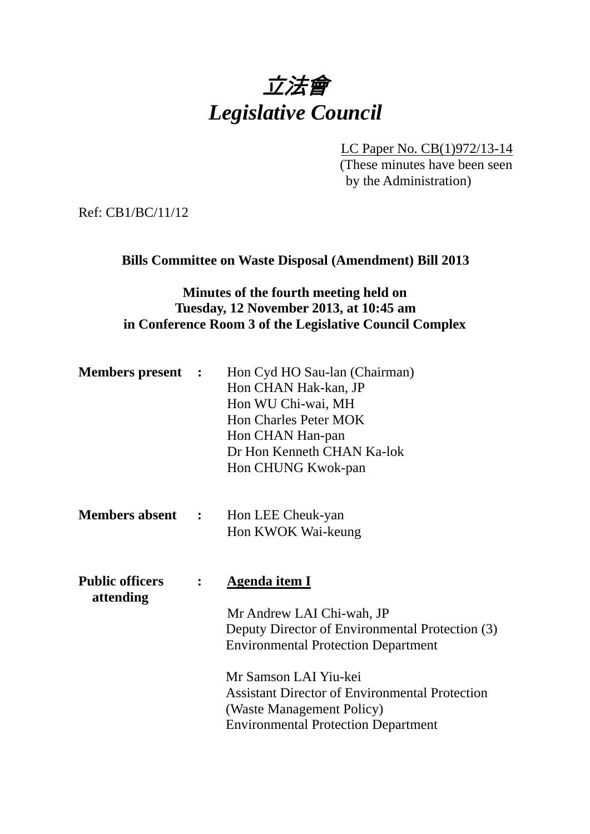

LC Paper No. CB(1)972/13-14

(These minutes have been seen by the Administration)

Ref: CB1/BC/11/12

**Bills Committee on Waste Disposal (Amendment) Bill 2013** 

## **Minutes of the fourth meeting held on Tuesday, 12 November 2013, at 10:45 am in Conference Room 3 of the Legislative Council Complex**

| <b>Members present :</b>            |                                        | Hon Cyd HO Sau-lan (Chairman)<br>Hon CHAN Hak-kan, JP<br>Hon WU Chi-wai, MH<br><b>Hon Charles Peter MOK</b><br>Hon CHAN Han-pan<br>Dr Hon Kenneth CHAN Ka-lok<br>Hon CHUNG Kwok-pan |
|-------------------------------------|----------------------------------------|-------------------------------------------------------------------------------------------------------------------------------------------------------------------------------------|
| <b>Members absent</b>               | $\mathbf{r}$ . The set of $\mathbf{r}$ | Hon LEE Cheuk-yan<br>Hon KWOK Wai-keung                                                                                                                                             |
| <b>Public officers</b><br>attending |                                        | <b>Agenda item I</b>                                                                                                                                                                |
|                                     |                                        | Mr Andrew LAI Chi-wah, JP<br>Deputy Director of Environmental Protection (3)<br><b>Environmental Protection Department</b>                                                          |
|                                     |                                        | Mr Samson LAI Yiu-kei<br><b>Assistant Director of Environmental Protection</b><br>(Waste Management Policy)<br><b>Environmental Protection Department</b>                           |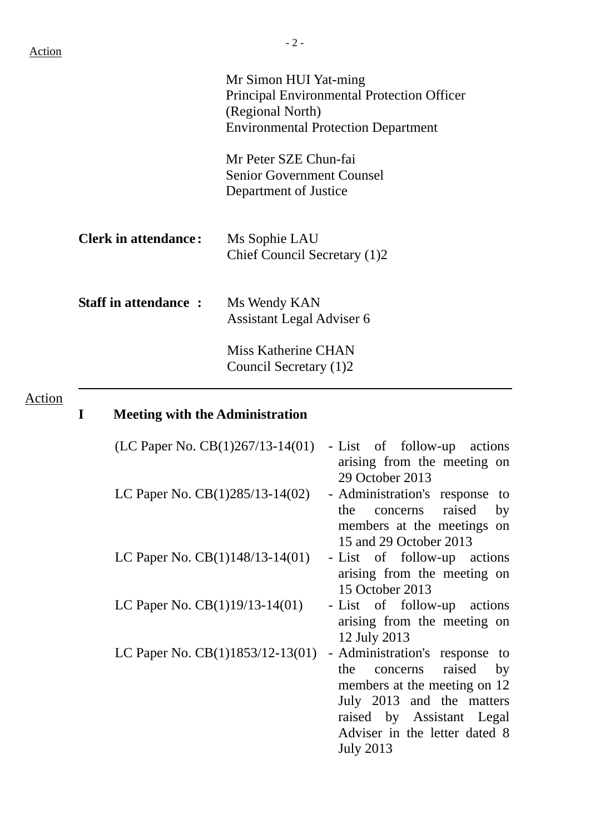|                             | Mr Simon HUI Yat-ming                             |
|-----------------------------|---------------------------------------------------|
|                             | <b>Principal Environmental Protection Officer</b> |
|                             | (Regional North)                                  |
|                             | <b>Environmental Protection Department</b>        |
|                             | Mr Peter SZE Chun-fai                             |
|                             | <b>Senior Government Counsel</b>                  |
|                             | Department of Justice                             |
| <b>Clerk in attendance:</b> | Ms Sophie LAU<br>Chief Council Secretary (1)2     |
| <b>Staff in attendance:</b> | Ms Wendy KAN                                      |
|                             | Assistant Legal Adviser 6                         |
|                             | Miss Katherine CHAN                               |
|                             | Council Secretary (1)2                            |
|                             |                                                   |

# Action

# **I Meeting with the Administration**

| (LC Paper No. $CB(1)267/13-14(01)$ ) | - List of follow-up actions    |
|--------------------------------------|--------------------------------|
|                                      | arising from the meeting on    |
|                                      | 29 October 2013                |
| LC Paper No. $CB(1)285/13-14(02)$    | - Administration's response to |
|                                      | the concerns raised<br>by      |
|                                      | members at the meetings on     |
|                                      | 15 and 29 October 2013         |
| LC Paper No. $CB(1)148/13-14(01)$    | - List of follow-up actions    |
|                                      | arising from the meeting on    |
|                                      | 15 October 2013                |
| LC Paper No. $CB(1)19/13-14(01)$     | - List of follow-up actions    |
|                                      | arising from the meeting on    |
|                                      | 12 July 2013                   |
| LC Paper No. $CB(1)1853/12-13(01)$   | - Administration's response to |
|                                      | concerns raised<br>the<br>by   |
|                                      | members at the meeting on 12   |
|                                      | July 2013 and the matters      |
|                                      | raised by Assistant Legal      |
|                                      | Adviser in the letter dated 8  |
|                                      | <b>July 2013</b>               |
|                                      |                                |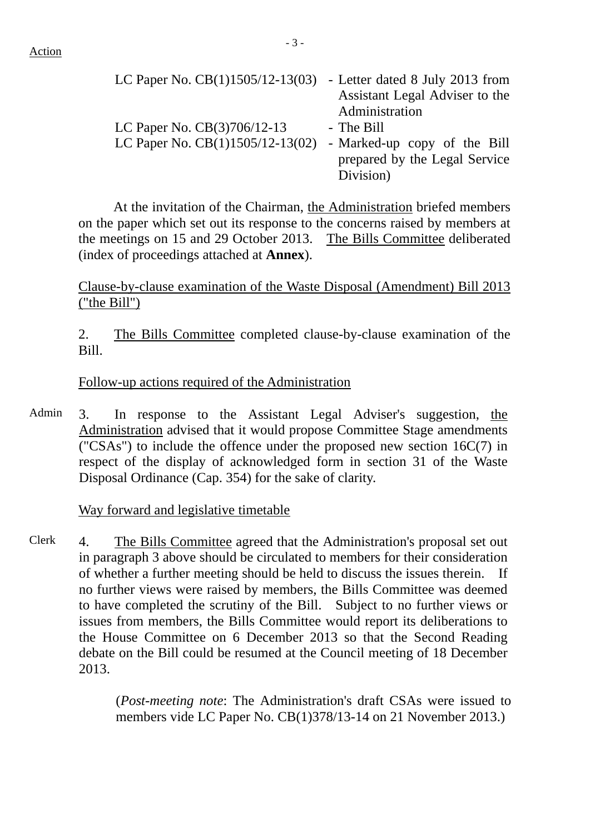| LC Paper No. $CB(1)1505/12-13(03)$ | - Letter dated 8 July 2013 from |
|------------------------------------|---------------------------------|
|                                    | Assistant Legal Adviser to the  |
|                                    | Administration                  |
| LC Paper No. CB(3)706/12-13        | - The Bill                      |
| LC Paper No. $CB(1)1505/12-13(02)$ | - Marked-up copy of the Bill    |
|                                    | prepared by the Legal Service   |
|                                    | Division)                       |

At the invitation of the Chairman, the Administration briefed members on the paper which set out its response to the concerns raised by members at the meetings on 15 and 29 October 2013. The Bills Committee deliberated (index of proceedings attached at **Annex**).

Clause-by-clause examination of the Waste Disposal (Amendment) Bill 2013 ("the Bill")

2. The Bills Committee completed clause-by-clause examination of the Bill.

Follow-up actions required of the Administration

Admin 3. In response to the Assistant Legal Adviser's suggestion, the Administration advised that it would propose Committee Stage amendments ("CSAs") to include the offence under the proposed new section 16C(7) in respect of the display of acknowledged form in section 31 of the Waste Disposal Ordinance (Cap. 354) for the sake of clarity.

Way forward and legislative timetable

Clerk 4. The Bills Committee agreed that the Administration's proposal set out in paragraph 3 above should be circulated to members for their consideration of whether a further meeting should be held to discuss the issues therein. If no further views were raised by members, the Bills Committee was deemed to have completed the scrutiny of the Bill. Subject to no further views or issues from members, the Bills Committee would report its deliberations to the House Committee on 6 December 2013 so that the Second Reading debate on the Bill could be resumed at the Council meeting of 18 December 2013.

> (*Post-meeting note*: The Administration's draft CSAs were issued to members vide LC Paper No. CB(1)378/13-14 on 21 November 2013.)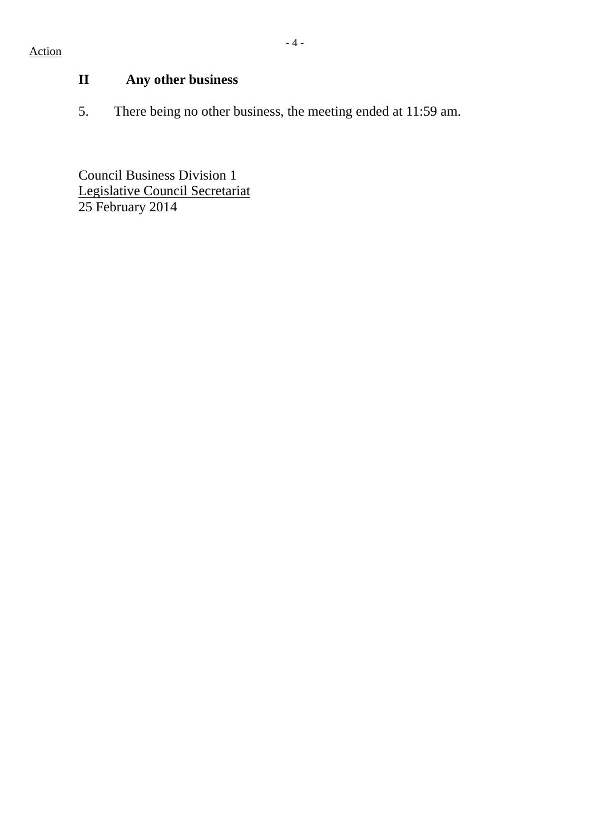#### Action

# **II Any other business**

5. There being no other business, the meeting ended at 11:59 am.

Council Business Division 1 Legislative Council Secretariat 25 February 2014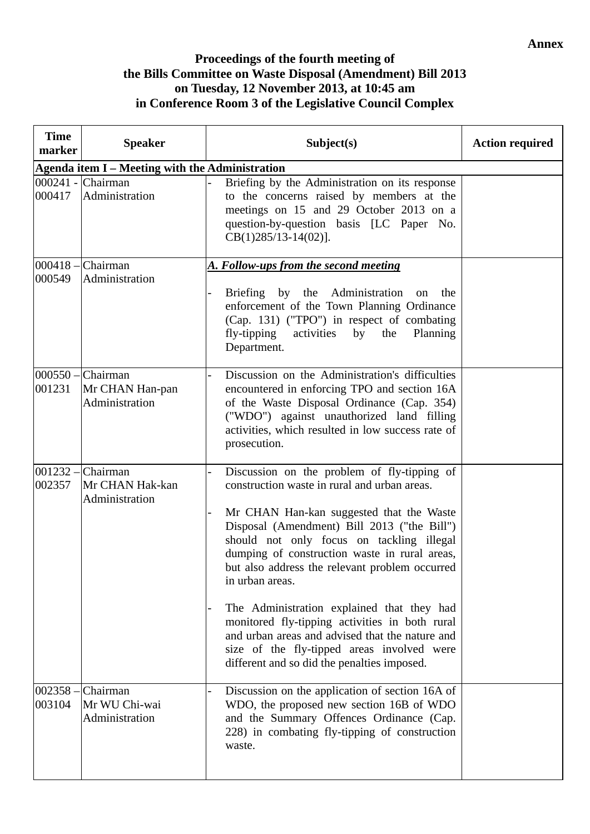### **Proceedings of the fourth meeting of the Bills Committee on Waste Disposal (Amendment) Bill 2013 on Tuesday, 12 November 2013, at 10:45 am in Conference Room 3 of the Legislative Council Complex**

| <b>Time</b><br>marker | <b>Speaker</b>                                           | Subject(s)                                                                                                                                                                                                                                                                                                                                                                                                                                                                                                                                                                                                | <b>Action required</b> |
|-----------------------|----------------------------------------------------------|-----------------------------------------------------------------------------------------------------------------------------------------------------------------------------------------------------------------------------------------------------------------------------------------------------------------------------------------------------------------------------------------------------------------------------------------------------------------------------------------------------------------------------------------------------------------------------------------------------------|------------------------|
|                       | Agenda item I - Meeting with the Administration          |                                                                                                                                                                                                                                                                                                                                                                                                                                                                                                                                                                                                           |                        |
| 000417                | 000241 - Chairman<br>Administration                      | Briefing by the Administration on its response<br>to the concerns raised by members at the<br>meetings on 15 and 29 October 2013 on a<br>question-by-question basis [LC Paper No.<br>$CB(1)285/13-14(02)$ ].                                                                                                                                                                                                                                                                                                                                                                                              |                        |
|                       | $000418$ – Chairman                                      | <b>A. Follow-ups from the second meeting</b>                                                                                                                                                                                                                                                                                                                                                                                                                                                                                                                                                              |                        |
| 000549                | Administration                                           | Briefing by the Administration<br>on<br>the<br>enforcement of the Town Planning Ordinance<br>(Cap. 131) ("TPO") in respect of combating<br>fly-tipping<br>activities<br>by<br>the<br>Planning<br>Department.                                                                                                                                                                                                                                                                                                                                                                                              |                        |
| 001231                | $000550$ - Chairman<br>Mr CHAN Han-pan<br>Administration | Discussion on the Administration's difficulties<br>encountered in enforcing TPO and section 16A<br>of the Waste Disposal Ordinance (Cap. 354)<br>("WDO") against unauthorized land filling<br>activities, which resulted in low success rate of<br>prosecution.                                                                                                                                                                                                                                                                                                                                           |                        |
| 002357                | 001232 - Chairman<br>Mr CHAN Hak-kan<br>Administration   | Discussion on the problem of fly-tipping of<br>construction waste in rural and urban areas.<br>Mr CHAN Han-kan suggested that the Waste<br>Disposal (Amendment) Bill 2013 ("the Bill")<br>should not only focus on tackling illegal<br>dumping of construction waste in rural areas,<br>but also address the relevant problem occurred<br>in urban areas.<br>The Administration explained that they had<br>monitored fly-tipping activities in both rural<br>and urban areas and advised that the nature and<br>size of the fly-tipped areas involved were<br>different and so did the penalties imposed. |                        |
| $002358 -$<br>003104  | Chairman<br>Mr WU Chi-wai<br>Administration              | Discussion on the application of section 16A of<br>WDO, the proposed new section 16B of WDO<br>and the Summary Offences Ordinance (Cap.<br>228) in combating fly-tipping of construction<br>waste.                                                                                                                                                                                                                                                                                                                                                                                                        |                        |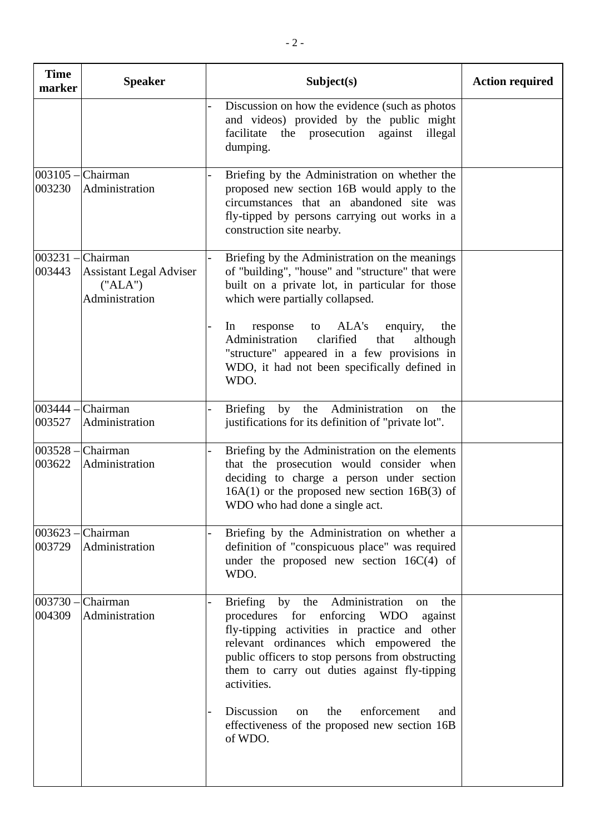| <b>Time</b><br>marker | <b>Speaker</b>                                                          | Subject(s)                                                                                                                                                                                                                                                                                                                                                                                     | <b>Action required</b> |
|-----------------------|-------------------------------------------------------------------------|------------------------------------------------------------------------------------------------------------------------------------------------------------------------------------------------------------------------------------------------------------------------------------------------------------------------------------------------------------------------------------------------|------------------------|
|                       |                                                                         | Discussion on how the evidence (such as photos)<br>and videos) provided by the public might<br>the prosecution against<br>facilitate<br>illegal<br>dumping.                                                                                                                                                                                                                                    |                        |
| 003230                | $003105$ - Chairman<br>Administration                                   | Briefing by the Administration on whether the<br>proposed new section 16B would apply to the<br>circumstances that an abandoned site was<br>fly-tipped by persons carrying out works in a<br>construction site nearby.                                                                                                                                                                         |                        |
| $003231 -$<br>003443  | Chairman<br><b>Assistant Legal Adviser</b><br>("ALA")<br>Administration | Briefing by the Administration on the meanings<br>of "building", "house" and "structure" that were<br>built on a private lot, in particular for those<br>which were partially collapsed.<br>ALA's<br>In<br>response<br>to<br>enquiry,<br>the<br>Administration<br>clarified<br>that<br>although<br>"structure" appeared in a few provisions in<br>WDO, it had not been specifically defined in |                        |
|                       |                                                                         | WDO.                                                                                                                                                                                                                                                                                                                                                                                           |                        |
| 003444<br>003527      | Chairman<br>Administration                                              | Briefing by the Administration<br>the<br>on<br>justifications for its definition of "private lot".                                                                                                                                                                                                                                                                                             |                        |
| 003528 -<br>003622    | -Chairman<br>Administration                                             | Briefing by the Administration on the elements<br>that the prosecution would consider when<br>deciding to charge a person under section<br>$16A(1)$ or the proposed new section $16B(3)$ of<br>WDO who had done a single act.                                                                                                                                                                  |                        |
| 003729                | $003623$ - Chairman<br>Administration                                   | Briefing by the Administration on whether a<br>definition of "conspicuous place" was required<br>under the proposed new section $16C(4)$ of<br>WDO.                                                                                                                                                                                                                                            |                        |
| 004309                | $003730$ - Chairman<br>Administration                                   | Briefing by the Administration<br>the<br>on<br>procedures for enforcing WDO<br>against<br>fly-tipping activities in practice and other<br>relevant ordinances which empowered the<br>public officers to stop persons from obstructing<br>them to carry out duties against fly-tipping<br>activities.<br>Discussion<br>enforcement<br>the<br>on<br>and                                          |                        |
|                       |                                                                         | effectiveness of the proposed new section 16B<br>of WDO.                                                                                                                                                                                                                                                                                                                                       |                        |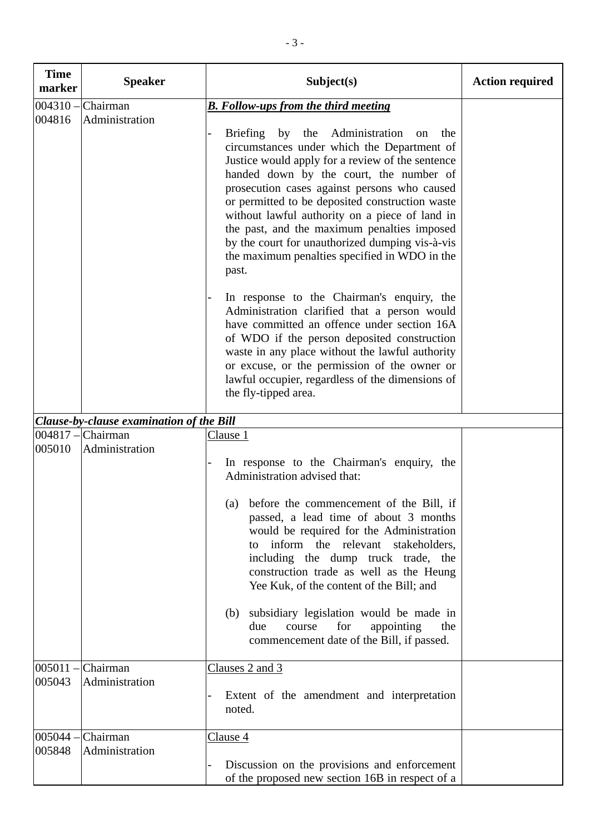| <b>Time</b><br>marker | <b>Speaker</b>                           | Subject(s)                                                                                                                                                                                                                                                                                                                                                                                                                                                                                                 | <b>Action required</b> |
|-----------------------|------------------------------------------|------------------------------------------------------------------------------------------------------------------------------------------------------------------------------------------------------------------------------------------------------------------------------------------------------------------------------------------------------------------------------------------------------------------------------------------------------------------------------------------------------------|------------------------|
| 004310 -              | Chairman                                 | <b>B.</b> Follow-ups from the third meeting                                                                                                                                                                                                                                                                                                                                                                                                                                                                |                        |
| 004816                | Administration                           | Briefing by the Administration<br>the<br>on<br>circumstances under which the Department of<br>Justice would apply for a review of the sentence<br>handed down by the court, the number of<br>prosecution cases against persons who caused<br>or permitted to be deposited construction waste<br>without lawful authority on a piece of land in<br>the past, and the maximum penalties imposed<br>by the court for unauthorized dumping vis-à-vis<br>the maximum penalties specified in WDO in the<br>past. |                        |
|                       |                                          | In response to the Chairman's enquiry, the<br>Administration clarified that a person would<br>have committed an offence under section 16A<br>of WDO if the person deposited construction<br>waste in any place without the lawful authority<br>or excuse, or the permission of the owner or<br>lawful occupier, regardless of the dimensions of<br>the fly-tipped area.                                                                                                                                    |                        |
|                       | Clause-by-clause examination of the Bill |                                                                                                                                                                                                                                                                                                                                                                                                                                                                                                            |                        |
| $004817 -$<br>005010  | Chairman<br>Administration               | <u>Clause 1</u><br>In response to the Chairman's enquiry, the<br>Administration advised that:                                                                                                                                                                                                                                                                                                                                                                                                              |                        |
|                       |                                          | (a) before the commencement of the Bill, if<br>passed, a lead time of about 3 months<br>would be required for the Administration<br>inform the relevant stakeholders,<br>to<br>including the dump truck trade, the<br>construction trade as well as the Heung<br>Yee Kuk, of the content of the Bill; and                                                                                                                                                                                                  |                        |
|                       |                                          | subsidiary legislation would be made in<br>(b)<br>for<br>appointing<br>due<br>course<br>the<br>commencement date of the Bill, if passed.                                                                                                                                                                                                                                                                                                                                                                   |                        |
| 005011<br>005043      | Chairman<br>Administration               | Clauses 2 and 3<br>Extent of the amendment and interpretation<br>noted.                                                                                                                                                                                                                                                                                                                                                                                                                                    |                        |
| 005044<br>005848      | Chairman<br>Administration               | Clause 4<br>Discussion on the provisions and enforcement                                                                                                                                                                                                                                                                                                                                                                                                                                                   |                        |
|                       |                                          | of the proposed new section 16B in respect of a                                                                                                                                                                                                                                                                                                                                                                                                                                                            |                        |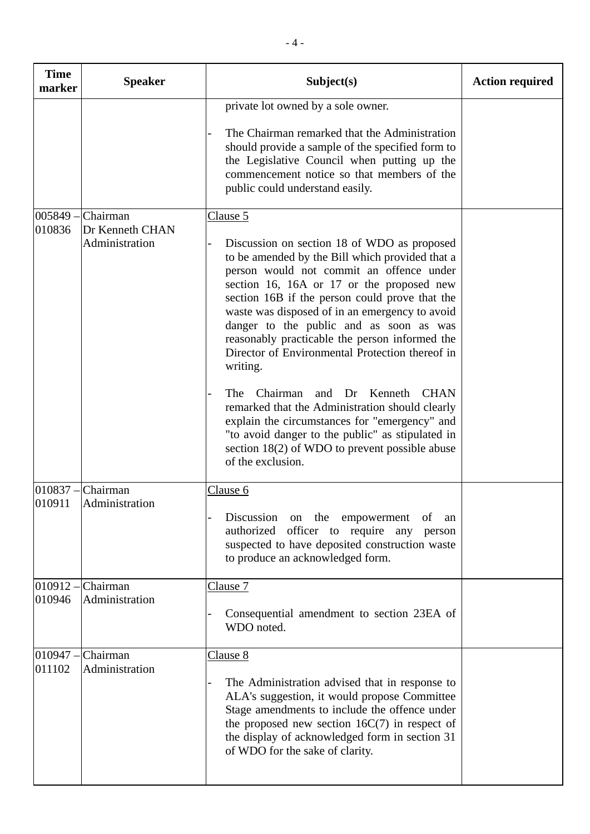| <b>Time</b><br>marker | <b>Speaker</b>                                | Subject(s)                                                                                                                                                                                                                                                                                                                                                                                                                                                                                                                                                                                                                                                                                                                                                      | <b>Action required</b> |
|-----------------------|-----------------------------------------------|-----------------------------------------------------------------------------------------------------------------------------------------------------------------------------------------------------------------------------------------------------------------------------------------------------------------------------------------------------------------------------------------------------------------------------------------------------------------------------------------------------------------------------------------------------------------------------------------------------------------------------------------------------------------------------------------------------------------------------------------------------------------|------------------------|
|                       |                                               | private lot owned by a sole owner.<br>The Chairman remarked that the Administration<br>should provide a sample of the specified form to<br>the Legislative Council when putting up the<br>commencement notice so that members of the<br>public could understand easily.                                                                                                                                                                                                                                                                                                                                                                                                                                                                                         |                        |
| 005849 -<br>010836    | Chairman<br>Dr Kenneth CHAN<br>Administration | Clause 5<br>Discussion on section 18 of WDO as proposed<br>to be amended by the Bill which provided that a<br>person would not commit an offence under<br>section 16, 16A or 17 or the proposed new<br>section 16B if the person could prove that the<br>waste was disposed of in an emergency to avoid<br>danger to the public and as soon as was<br>reasonably practicable the person informed the<br>Director of Environmental Protection thereof in<br>writing.<br>Chairman<br>and Dr Kenneth<br><b>CHAN</b><br><b>The</b><br>remarked that the Administration should clearly<br>explain the circumstances for "emergency" and<br>"to avoid danger to the public" as stipulated in<br>section $18(2)$ of WDO to prevent possible abuse<br>of the exclusion. |                        |
| $010837 -$<br>010911  | Chairman<br>Administration                    | Clause 6<br>Discussion<br>on the empowerment<br>of<br>an<br>officer to require any person<br>authorized<br>suspected to have deposited construction waste<br>to produce an acknowledged form.                                                                                                                                                                                                                                                                                                                                                                                                                                                                                                                                                                   |                        |
| 010946                | $010912$ - Chairman<br>Administration         | Clause 7<br>Consequential amendment to section 23EA of<br>WDO noted.                                                                                                                                                                                                                                                                                                                                                                                                                                                                                                                                                                                                                                                                                            |                        |
| 010947 -<br>011102    | Chairman<br>Administration                    | Clause 8<br>The Administration advised that in response to<br>ALA's suggestion, it would propose Committee<br>Stage amendments to include the offence under<br>the proposed new section $16C(7)$ in respect of<br>the display of acknowledged form in section 31<br>of WDO for the sake of clarity.                                                                                                                                                                                                                                                                                                                                                                                                                                                             |                        |